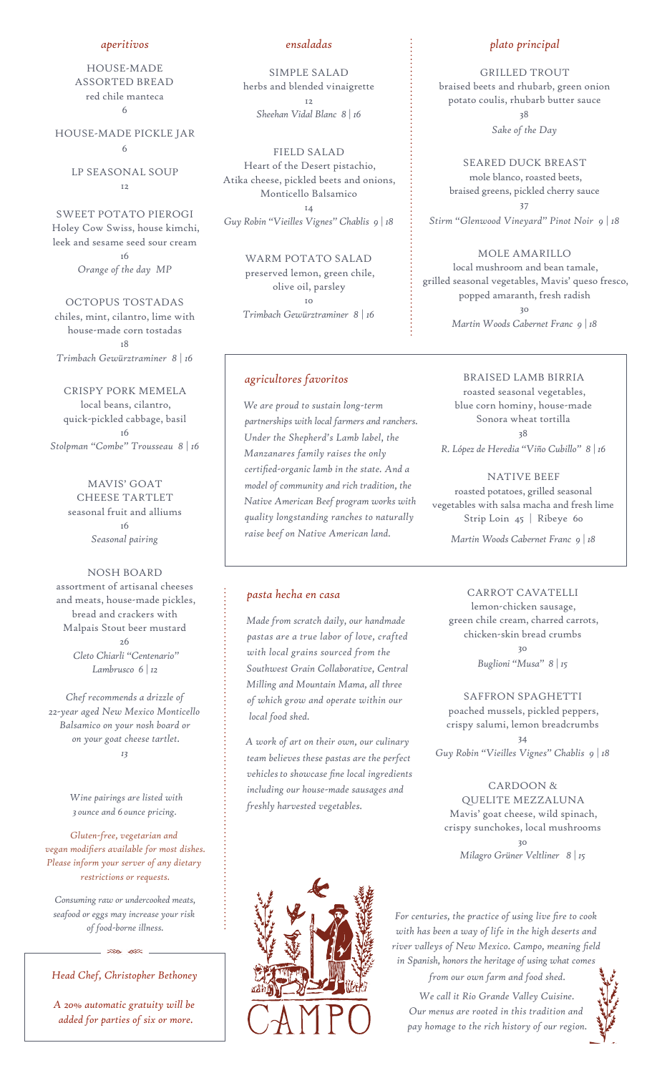#### *aperitivos*

HOUSE-MADE ASSORTED BREAD red chile manteca 6

HOUSE-MADE PICKLE JAR 6

> LP SEASONAL SOUP 12

SWEET POTATO PIEROGI Holey Cow Swiss, house kimchi, leek and sesame seed sour cream 16 *Orange of the day MP*

OCTOPUS TOSTADAS chiles, mint, cilantro, lime with house-made corn tostadas 18 *Trimbach Gewürztraminer 8 | 16*

CRISPY PORK MEMELA local beans, cilantro, quick-pickled cabbage, basil 16 *Stolpman "Combe" Trousseau 8 | 16*

> MAVIS' GOAT CHEESE TARTLET seasonal fruit and alliums 16 *Seasonal pairing*

NOSH BOARD assortment of artisanal cheeses and meats, house-made pickles, bread and crackers with Malpais Stout beer mustard 26 *Cleto Chiarli "Centenario" Lambrusco 6 | 12*

*Chef recommends a drizzle of 22-year aged New Mexico Monticello Balsamico on your nosh board or on your goat cheese tartlet. 13*

> *Wine pairings are listed with 3 ounce and 6 ounce pricing.*

*Gluten-free, vegetarian and vegan modifiers available for most dishes. Please inform your server of any dietary restrictions or requests.*

*Consuming raw or undercooked meats, seafood or eggs may increase your risk of food-borne illness.* 

*Head Chef, Christopher Bethoney* 

 $\ggg$ 

*A 20% automatic gratuity will be added for parties of six or more.*

## *ensaladas*

SIMPLE SALAD herbs and blended vinaigrette 12 *Sheehan Vidal Blanc 8 | 16*

FIELD SALAD Heart of the Desert pistachio, Atika cheese, pickled beets and onions, Monticello Balsamico 14

*Guy Robin "Vieilles Vignes" Chablis 9 | 18*

WARM POTATO SALAD preserved lemon, green chile, olive oil, parsley 10 *Trimbach Gewürztraminer 8 | 16*

# *agricultores favoritos*

*We are proud to sustain long-term partnerships with local farmers and ranchers. Under the Shepherd's Lamb label, the Manzanares family raises the only certified-organic lamb in the state. And a model of community and rich tradition, the Native American Beef program works with quality longstanding ranches to naturally raise beef on Native American land.* 

## *pasta hecha en casa*

*Made from scratch daily, our handmade pastas are a true labor of love, crafted with local grains sourced from the Southwest Grain Collaborative, Central Milling and Mountain Mama, all three of which grow and operate within our local food shed.* 

*A work of art on their own, our culinary team believes these pastas are the perfect vehicles to showcase fine local ingredients including our house-made sausages and freshly harvested vegetables.*



#### *plato principal*

GRILLED TROUT braised beets and rhubarb, green onion potato coulis, rhubarb butter sauce 38 *Sake of the Day*

SEARED DUCK BREAST mole blanco, roasted beets, braised greens, pickled cherry sauce 37 *Stirm "Glenwood Vineyard" Pinot Noir 9 | 18*

MOLE AMARILLO local mushroom and bean tamale, grilled seasonal vegetables, Mavis' queso fresco, popped amaranth, fresh radish 30 *Martin Woods Cabernet Franc 9 | 18*

BRAISED LAMB BIRRIA roasted seasonal vegetables, blue corn hominy, house-made Sonora wheat tortilla 38 *R. López de Heredia "Viño Cubillo" 8 | 16*

NATIVE BEEF roasted potatoes, grilled seasonal vegetables with salsa macha and fresh lime Strip Loin 45 | Ribeye 60

*Martin Woods Cabernet Franc 9 | 18*

CARROT CAVATELLI lemon-chicken sausage, green chile cream, charred carrots, chicken-skin bread crumbs 30 *Buglioni "Musa" 8 | 15*

SAFFRON SPAGHETTI poached mussels, pickled peppers, crispy salumi, lemon breadcrumbs 34 *Guy Robin "Vieilles Vignes" Chablis 9 | 18*

CARDOON & QUELITE MEZZALUNA Mavis' goat cheese, wild spinach, crispy sunchokes, local mushrooms 30 *Milagro Grüner Veltliner 8 | 15*

*For centuries, the practice of using live fire to cook with has been a way of life in the high deserts and river valleys of New Mexico. Campo, meaning field in Spanish, honors the heritage of using what comes* 

*from our own farm and food shed. We call it Rio Grande Valley Cuisine. Our menus are rooted in this tradition and pay homage to the rich history of our region.*